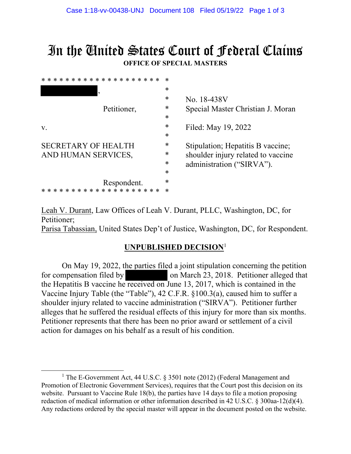## In the United States Court of Federal Claims **OFFICE OF SPECIAL MASTERS**

| * * * * * * * * * * * * * * * * * * * * | $\ast$ |                                                                 |
|-----------------------------------------|--------|-----------------------------------------------------------------|
| Petitioner,                             | $\ast$ |                                                                 |
|                                         | ∗      | No. 18-438V                                                     |
|                                         | ∗      | Special Master Christian J. Moran                               |
|                                         | $\ast$ |                                                                 |
| $V_{\rm A}$                             | $\ast$ | Filed: May 19, 2022                                             |
|                                         | $\ast$ |                                                                 |
| <b>SECRETARY OF HEALTH</b>              | ∗      | Stipulation; Hepatitis B vaccine;                               |
| AND HUMAN SERVICES,                     | ∗      | shoulder injury related to vaccine<br>administration ("SIRVA"). |
|                                         | *      |                                                                 |
|                                         | $\ast$ |                                                                 |
| Respondent.                             | $\ast$ |                                                                 |
| * * * * * * * * * * * * * * *           | $\ast$ |                                                                 |
|                                         |        |                                                                 |

Leah V. Durant, Law Offices of Leah V. Durant, PLLC, Washington, DC, for Petitioner; Parisa Tabassian, United States Dep't of Justice, Washington, DC, for Respondent.

## **UNPUBLISHED DECISION**<sup>1</sup>

On May 19, 2022, the parties filed a joint stipulation concerning the petition for compensation filed by on March 23, 2018. Petitioner alleged that the Hepatitis B vaccine he received on June 13, 2017, which is contained in the Vaccine Injury Table (the "Table"), 42 C.F.R. §100.3(a), caused him to suffer a shoulder injury related to vaccine administration ("SIRVA"). Petitioner further alleges that he suffered the residual effects of this injury for more than six months. Petitioner represents that there has been no prior award or settlement of a civil action for damages on his behalf as a result of his condition.

<sup>&</sup>lt;sup>1</sup> The E-Government Act, 44 U.S.C. § 3501 note (2012) (Federal Management and Promotion of Electronic Government Services), requires that the Court post this decision on its website. Pursuant to Vaccine Rule 18(b), the parties have 14 days to file a motion proposing redaction of medical information or other information described in 42 U.S.C. § 300aa-12(d)(4). Any redactions ordered by the special master will appear in the document posted on the website.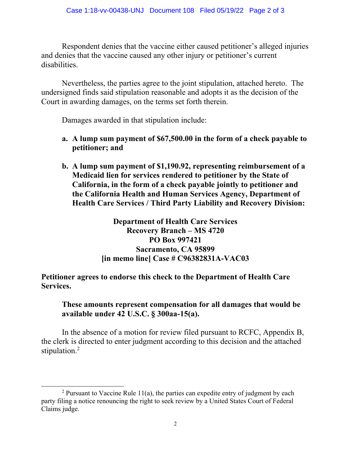Respondent denies that the vaccine either caused petitioner's alleged injuries and denies that the vaccine caused any other injury or petitioner's current disabilities.

Nevertheless, the parties agree to the joint stipulation, attached hereto. The undersigned finds said stipulation reasonable and adopts it as the decision of the Court in awarding damages, on the terms set forth therein.

Damages awarded in that stipulation include:

- **a. A lump sum payment of \$67,500.00 in the form of a check payable to petitioner; and**
- **b. A lump sum payment of \$1,190.92, representing reimbursement of a Medicaid lien for services rendered to petitioner by the State of California, in the form of a check payable jointly to petitioner and the California Health and Human Services Agency, Department of Health Care Services / Third Party Liability and Recovery Division:**

**Department of Health Care Services Recovery Branch – MS 4720 PO Box 997421 Sacramento, CA 95899 [in memo line] Case # C96382831A-VAC03**

**Petitioner agrees to endorse this check to the Department of Health Care Services.**

**These amounts represent compensation for all damages that would be available under 42 U.S.C. § 300aa-15(a).**

In the absence of a motion for review filed pursuant to RCFC, Appendix B, the clerk is directed to enter judgment according to this decision and the attached stipulation.<sup>2</sup>

<sup>&</sup>lt;sup>2</sup> Pursuant to Vaccine Rule 11(a), the parties can expedite entry of judgment by each party filing a notice renouncing the right to seek review by a United States Court of Federal Claims judge.